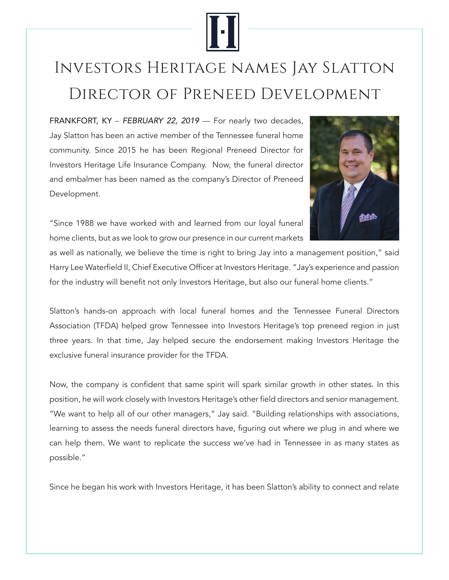

## Investors Heritage names Jay Slatton Director of Preneed Development

FRANKFORT, KY - FEBRUARY 22, 2019 - For nearly two decades, Jay Slatton has been an active member of the Tennessee funeral home community. Since 2015 he has been Regional Preneed Director for Investors Heritage Life Insurance Company. Now, the funeral director and embalmer has been named as the company's Director of Preneed Development.



"Since 1988 we have worked with and learned from our loyal funeral home clients, but as we look to grow our presence in our current markets

as well as nationally, we believe the time is right to bring Jay into a management position," said Harry Lee Waterfield II, Chief Executive Officer at Investors Heritage. "Jay's experience and passion for the industry will benefit not only Investors Heritage, but also our funeral home clients."

Slatton's hands-on approach with local funeral homes and the Tennessee Funeral Directors Association (TFDA) helped grow Tennessee into Investors Heritage's top preneed region in just three years. In that time, Jay helped secure the endorsement making Investors Heritage the exclusive funeral insurance provider for the TFDA.

Now, the company is confident that same spirit will spark similar growth in other states. In this position, he will work closely with Investors Heritage's other field directors and senior management. "We want to help all of our other managers," Jay said. "Building relationships with associations, learning to assess the needs funeral directors have, figuring out where we plug in and where we can help them. We want to replicate the success we've had in Tennessee in as many states as possible."

Since he began his work with Investors Heritage, it has been Slatton's ability to connect and relate